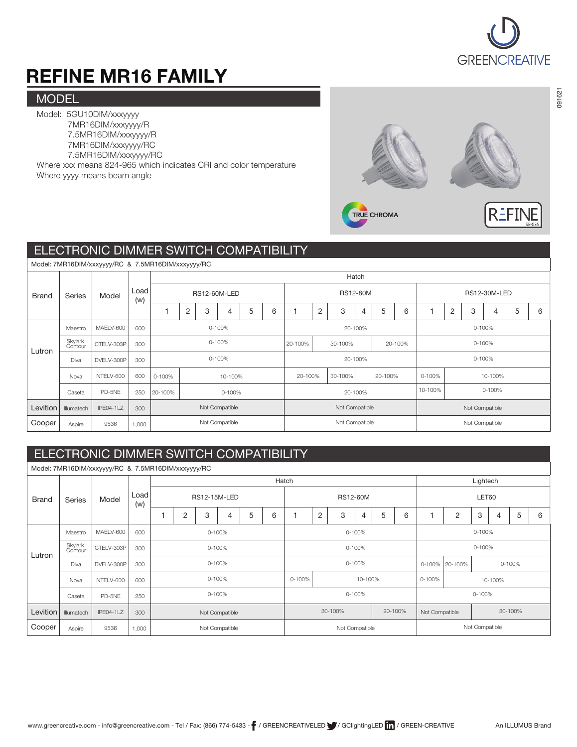

# REFINE MR16 FAMILY

#### **MODEL**

Model: 5GU10DIM/xxxyyyy 7MR16DIM/xxxyyyy/R 7.5MR16DIM/xxxyyyy/R 7MR16DIM/xxxyyyy/RC 7.5MR16DIM/xxxyyyy/RC

Where xxx means 824-965 which indicates CRI and color temperature Where yyyy means beam angle



### ELECTRONIC DIMMER SWITCH COMPATIBILITY

|              | Model: 7MR16DIM/xxxyyyy/RC & 7.5MR16DIM/xxxyyyy/RC |                  |             |              |                |   |                |   |                 |                |                               |         |       |   |                     |                |                |        |   |   |   |  |  |  |
|--------------|----------------------------------------------------|------------------|-------------|--------------|----------------|---|----------------|---|-----------------|----------------|-------------------------------|---------|-------|---|---------------------|----------------|----------------|--------|---|---|---|--|--|--|
|              |                                                    |                  |             |              |                |   |                |   |                 |                |                               |         | Hatch |   |                     |                |                |        |   |   |   |  |  |  |
| <b>Brand</b> | Series                                             | Model            | Load<br>(w) | RS12-60M-LED |                |   |                |   | <b>RS12-80M</b> |                |                               |         |       |   | <b>RS12-30M-LED</b> |                |                |        |   |   |   |  |  |  |
|              |                                                    |                  |             |              | $\overline{2}$ | 3 | 4              | 5 | 6               |                | $\overline{2}$                | 3       |       | 5 | 6                   |                | $\overline{2}$ | 3      | 4 | 5 | 6 |  |  |  |
|              | Maestro                                            | MAELV-600        | 600         |              | 0-100%         |   |                |   |                 |                |                               | 20-100% |       |   |                     |                |                | 0-100% |   |   |   |  |  |  |
| Lutron       | Skylark<br>Contour                                 | CTELV-303P       | 300         | 0-100%       |                |   |                |   |                 | 20-100%        |                               | 30-100% |       |   | 20-100%             |                |                | 0-100% |   |   |   |  |  |  |
|              | <b>Diva</b>                                        | DVELV-300P       | 300         | 0-100%       |                |   |                |   |                 | 20-100%        |                               |         |       |   |                     | 0-100%         |                |        |   |   |   |  |  |  |
|              | Nova                                               | NTELV-600        | 600         | 0-100%       | 10-100%        |   |                |   |                 |                | 20-100%<br>30-100%<br>20-100% |         |       |   |                     | 0-100%         | 10-100%        |        |   |   |   |  |  |  |
|              | Caseta                                             | PD-5NE           | 250         | 20-100%      | 0-100%         |   |                |   |                 |                |                               | 20-100% |       |   | 10-100%<br>0-100%   |                |                |        |   |   |   |  |  |  |
| Levition     | Illumatech                                         | <b>IPE04-1LZ</b> | 300         |              | Not Compatible |   |                |   | Not Compatible  |                |                               |         |       |   | Not Compatible      |                |                |        |   |   |   |  |  |  |
| Cooper       | Aspire                                             | 9536             | 1,000       |              |                |   | Not Compatible |   |                 | Not Compatible |                               |         |       |   |                     | Not Compatible |                |        |   |   |   |  |  |  |

#### ELECTRONIC DIMMER SWITCH COMPATIBILITY

Hatch **Lightech Lightech** Model: 7MR16DIM/xxxyyyy/RC & 7.5MR16DIM/xxxyyyy/RC Brand Series Model Load (w) Lutron Levition Cooper Maestro Diva Nova Caseta Illumatech Aspire 600 300 300 600 250 300 1,000 MAELV-600 CTELV-303P DVELV-300P NTELV-600 PD-5NE IPE04-1LZ 9536 RS12-15M-LED RS12-60M RS12-60M 1 2 3 4 5 6 Skylark Contour 1 2 3 4 5 6 1 2 3 4 5 6 0-100% 0-100% 0-100% 10-100% 0-100% 0-100% 30-100% 0-100% Not Compatible Not Compatible 0-100% 0-100% 0-100% 0-100% 10-100% 0-100% 30-100% 20-100% Not Compatible 0-100% 0-100% 0-100% 0-100% 0-100% Not Compatible Not Compatible 20-100%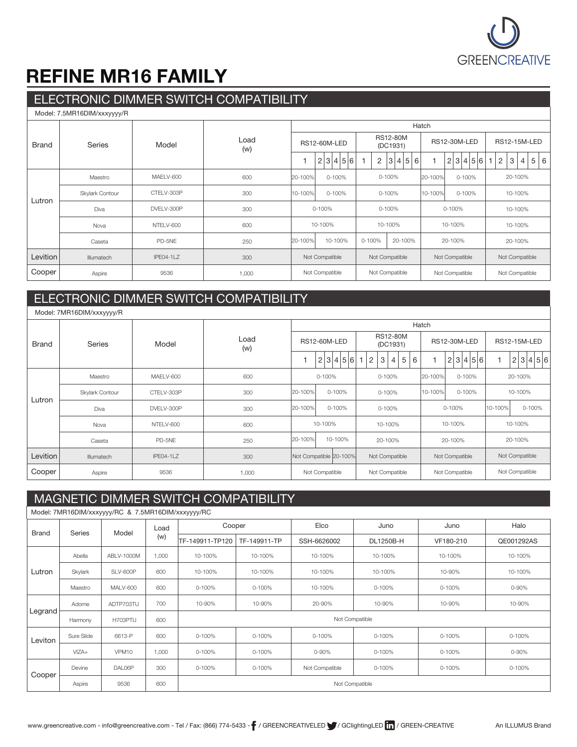

### REFINE MR16 FAMILY

### ELECTRONIC DIMMER SWITCH COMPATIBILITY

| Model: 7.5MR16DIM/xxxyyyy/R |                 |                  |             |         |                     |                     |                             |                       |                     |                     |                     |   |   |  |
|-----------------------------|-----------------|------------------|-------------|---------|---------------------|---------------------|-----------------------------|-----------------------|---------------------|---------------------|---------------------|---|---|--|
|                             |                 |                  |             | Hatch   |                     |                     |                             |                       |                     |                     |                     |   |   |  |
| <b>Brand</b>                | <b>Series</b>   | Model            | Load<br>(w) |         | <b>RS12-60M-LED</b> |                     | <b>RS12-80M</b><br>(DC1931) | <b>RS12-30M-LED</b>   | <b>RS12-15M-LED</b> |                     |                     |   |   |  |
|                             |                 |                  |             |         | 2 3 4 5 6           | 2<br>$\overline{1}$ | 3 4 5 6                     |                       | 2 3 4 5 6           | $\overline{c}$<br>1 | 3<br>$\overline{4}$ | 5 | 6 |  |
|                             | Maestro         | MAELV-600        | 600         | 20-100% | 0-100%              |                     | $0 - 100%$                  | 20-100%               | 0-100%              |                     | 20-100%             |   |   |  |
|                             | Skylark Contour | CTELV-303P       | 300         | 10-100% | $0 - 100%$          |                     | 0-100%                      | 10-100%<br>$0 - 100%$ |                     | 10-100%             |                     |   |   |  |
| Lutron                      | Diva            | DVELV-300P       | 300         |         | 0-100%              |                     | $0 - 100%$                  |                       | 0-100%              | 10-100%             |                     |   |   |  |
|                             | Nova            | NTELV-600        | 600         |         | 10-100%             |                     | 10-100%                     |                       | 10-100%             | 10-100%             |                     |   |   |  |
|                             | Caseta          | PD-5NE           | 250         | 20-100% | 10-100%             | 0-100%              | 20-100%                     |                       | 20-100%             |                     | 20-100%             |   |   |  |
| Levition                    | Illumatech      | <b>IPE04-1LZ</b> | 300         |         | Not Compatible      | Not Compatible      |                             |                       | Not Compatible      | Not Compatible      |                     |   |   |  |
| Cooper                      | Aspire          | 9536             | 1,000       |         | Not Compatible      | Not Compatible      |                             | Not Compatible        | Not Compatible      |                     |                     |   |   |  |

#### ELECTRONIC DIMMER SWITCH COMPATIBILITY

| Model: 7MR16DIM/xxxyyyy/R |                 |                  |             |                        |            |         |  |                          |                             |                |                |         |                |                     |         |                |                     |                |  |           |
|---------------------------|-----------------|------------------|-------------|------------------------|------------|---------|--|--------------------------|-----------------------------|----------------|----------------|---------|----------------|---------------------|---------|----------------|---------------------|----------------|--|-----------|
|                           |                 |                  |             | Hatch                  |            |         |  |                          |                             |                |                |         |                |                     |         |                |                     |                |  |           |
| <b>Brand</b>              | <b>Series</b>   | Model            | Load<br>(w) | <b>RS12-60M-LED</b>    |            |         |  |                          | <b>RS12-80M</b><br>(DC1931) |                |                |         |                | <b>RS12-30M-LED</b> |         |                | <b>RS12-15M-LED</b> |                |  |           |
|                           |                 |                  |             |                        | 2 3 4 5 6  |         |  | $\overline{\phantom{a}}$ | 2                           | 3              | $\overline{4}$ | 5<br>6  |                |                     |         | 2 3 4 5 6      | $\overline{1}$      |                |  | 2 3 4 5 6 |
|                           | Maestro         | MAELV-600        | 600         | 0-100%                 |            |         |  |                          | 0-100%                      |                |                |         | 20-100%        | 0-100%              |         | 20-100%        |                     |                |  |           |
| Lutron                    | Skylark Contour | CTELV-303P       | 300         | 20-100%                | $0 - 100%$ |         |  |                          | 0-100%                      |                |                | 10-100% | $0 - 100%$     |                     | 10-100% |                |                     |                |  |           |
|                           | Diva            | DVELV-300P       | 300         | $0 - 100%$<br>20-100%  |            |         |  | 0-100%                   |                             |                | $0 - 100%$     |         |                |                     | 10-100% |                | 0-100%              |                |  |           |
|                           | Nova            | NTELV-600        | 600         |                        | 10-100%    |         |  | 10-100%                  |                             |                | 10-100%        |         |                | 10-100%             |         |                |                     |                |  |           |
|                           | Caseta          | PD-5NE           | 250         | 20-100%                |            | 10-100% |  |                          |                             | 20-100%        |                |         |                | 20-100%             |         |                |                     | 20-100%        |  |           |
| Levition                  | Illumatech      | <b>IPE04-1LZ</b> | 300         | Not Compatible 20-100% |            |         |  |                          |                             | Not Compatible |                |         |                | Not Compatible      |         |                |                     | Not Compatible |  |           |
| Cooper                    | Aspire          | 9536             | 1,000       | Not Compatible         |            |         |  |                          | Not Compatible              |                |                |         | Not Compatible |                     |         | Not Compatible |                     |                |  |           |

### MAGNETIC DIMMER SWITCH COMPATIBILITY

| Model: 7MR16DIM/xxxyyyy/RC & 7.5MR16DIM/xxxyyyy/RC |            |                 |       |                 |                |                |           |           |            |  |  |  |  |  |
|----------------------------------------------------|------------|-----------------|-------|-----------------|----------------|----------------|-----------|-----------|------------|--|--|--|--|--|
| <b>Brand</b>                                       | Series     | Model           | Load  | Cooper          |                | Elco           | Juno      | Juno      | Halo       |  |  |  |  |  |
|                                                    |            |                 | (w)   | TF-149911-TP120 | TF-149911-TP   | SSH-6626002    | DL1250B-H | VF180-210 | QE001292AS |  |  |  |  |  |
|                                                    | Abella     | ABLV-1000M      | 1,000 | 10-100%         | 10-100%        | 10-100%        | 10-100%   | 10-100%   | 10-100%    |  |  |  |  |  |
| Lutron                                             | Skylark    | SLV-600P        | 600   | 10-100%         | 10-100%        | 10-100%        | 10-100%   | 10-90%    | 10-100%    |  |  |  |  |  |
|                                                    | Maestro    | <b>MALV-600</b> | 600   | 0-100%          | 0-100%         | 10-100%        | 0-100%    | 0-100%    | 0-90%      |  |  |  |  |  |
|                                                    | Adorne     | ADTP703TU       | 700   | 10-90%          | 10-90%         | 20-90%         | 10-90%    | 10-90%    | 10-90%     |  |  |  |  |  |
| Legrand                                            | Harmony    | H703PTU         | 600   |                 | Not Compatible |                |           |           |            |  |  |  |  |  |
| Leviton                                            | Sure Slide | 6613-P          | 600   | 0-100%          | 0-100%         | 0-100%         | 0-100%    | 0-100%    | 0-100%     |  |  |  |  |  |
|                                                    | VIZA+      | VPM10           | 1,000 | 0-100%          | 0-100%         | 0-90%          | 0-100%    | 0-100%    | 0-90%      |  |  |  |  |  |
| Cooper                                             | Devine     | DAL06P          | 300   | $0 - 100%$      | 0-100%         | Not Compatible | 0-100%    | 0-100%    | 0-100%     |  |  |  |  |  |
|                                                    | Aspire     | 9536            | 600   | Not Compatible  |                |                |           |           |            |  |  |  |  |  |